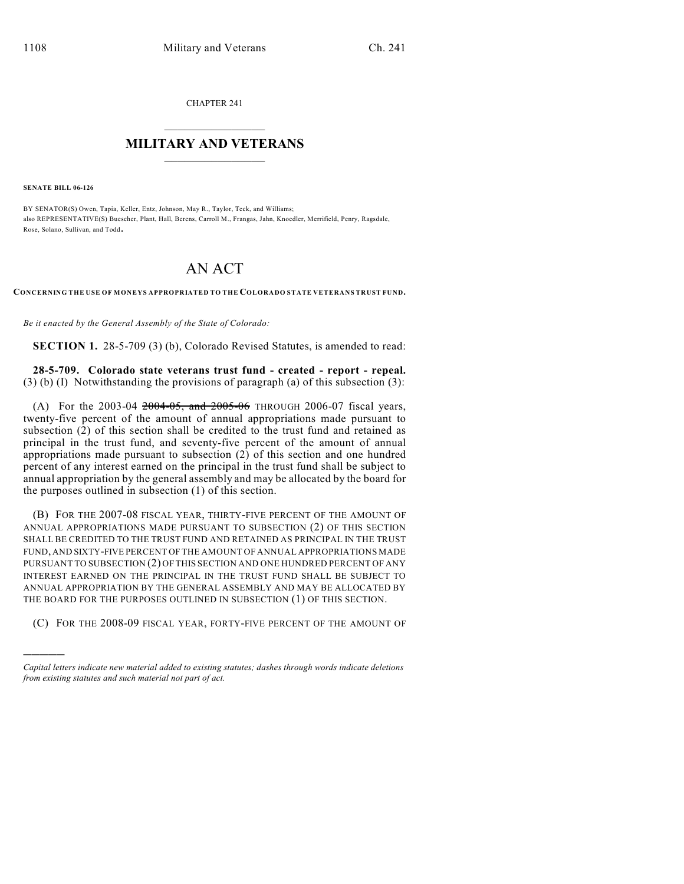CHAPTER 241

## $\overline{\phantom{a}}$  . The set of the set of the set of the set of the set of the set of the set of the set of the set of the set of the set of the set of the set of the set of the set of the set of the set of the set of the set o **MILITARY AND VETERANS**  $\frac{1}{2}$  ,  $\frac{1}{2}$  ,  $\frac{1}{2}$  ,  $\frac{1}{2}$  ,  $\frac{1}{2}$  ,  $\frac{1}{2}$  ,  $\frac{1}{2}$

**SENATE BILL 06-126**

)))))

BY SENATOR(S) Owen, Tapia, Keller, Entz, Johnson, May R., Taylor, Teck, and Williams; also REPRESENTATIVE(S) Buescher, Plant, Hall, Berens, Carroll M., Frangas, Jahn, Knoedler, Merrifield, Penry, Ragsdale, Rose, Solano, Sullivan, and Todd.

## AN ACT

**CONCERNING THE USE OF MONEYS APPROPRIATED TO THE COLORADO STATE VETERANS TRUST FUND.**

*Be it enacted by the General Assembly of the State of Colorado:*

**SECTION 1.** 28-5-709 (3) (b), Colorado Revised Statutes, is amended to read:

**28-5-709. Colorado state veterans trust fund - created - report - repeal.**  $(3)$  (b) (I) Notwithstanding the provisions of paragraph (a) of this subsection (3):

(A) For the 2003-04  $2004-05$ , and  $2005-06$  THROUGH 2006-07 fiscal years, twenty-five percent of the amount of annual appropriations made pursuant to subsection (2) of this section shall be credited to the trust fund and retained as principal in the trust fund, and seventy-five percent of the amount of annual appropriations made pursuant to subsection (2) of this section and one hundred percent of any interest earned on the principal in the trust fund shall be subject to annual appropriation by the general assembly and may be allocated by the board for the purposes outlined in subsection (1) of this section.

(B) FOR THE 2007-08 FISCAL YEAR, THIRTY-FIVE PERCENT OF THE AMOUNT OF ANNUAL APPROPRIATIONS MADE PURSUANT TO SUBSECTION (2) OF THIS SECTION SHALL BE CREDITED TO THE TRUST FUND AND RETAINED AS PRINCIPAL IN THE TRUST FUND, AND SIXTY-FIVE PERCENT OF THE AMOUNT OF ANNUAL APPROPRIATIONS MADE PURSUANT TO SUBSECTION (2) OFTHIS SECTION AND ONE HUNDRED PERCENT OF ANY INTEREST EARNED ON THE PRINCIPAL IN THE TRUST FUND SHALL BE SUBJECT TO ANNUAL APPROPRIATION BY THE GENERAL ASSEMBLY AND MAY BE ALLOCATED BY THE BOARD FOR THE PURPOSES OUTLINED IN SUBSECTION (1) OF THIS SECTION.

(C) FOR THE 2008-09 FISCAL YEAR, FORTY-FIVE PERCENT OF THE AMOUNT OF

*Capital letters indicate new material added to existing statutes; dashes through words indicate deletions from existing statutes and such material not part of act.*